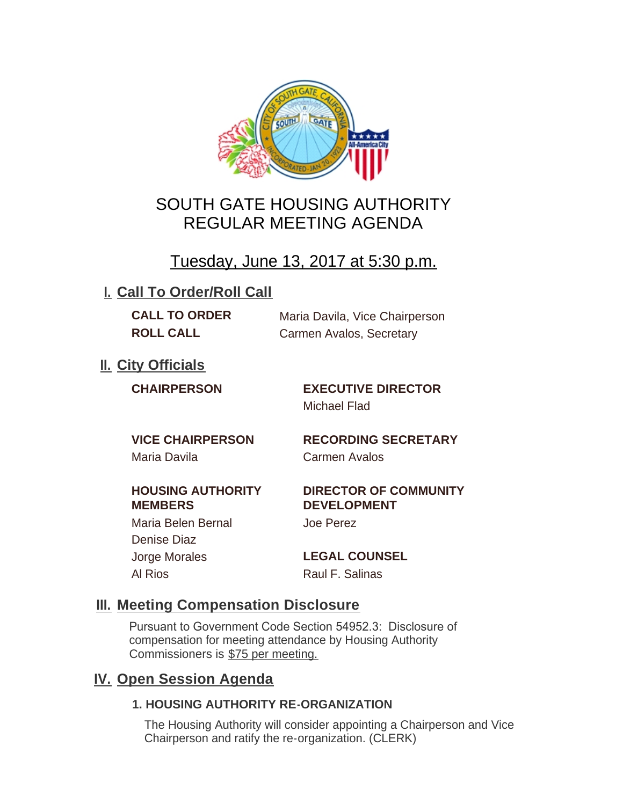

## SOUTH GATE HOUSING AUTHORITY REGULAR MEETING AGENDA

## Tuesday, June 13, 2017 at 5:30 p.m.

## **I. Call To Order/Roll Call**

**CALL TO ORDER** Maria Davila, Vice Chairperson **ROLL CALL** Carmen Avalos, Secretary

**II.** City Officials

**CHAIRPERSON EXECUTIVE DIRECTOR** Michael Flad

Maria Davila Carmen Avalos

**VICE CHAIRPERSON RECORDING SECRETARY**

## **HOUSING AUTHORITY MEMBERS**

Denise Diaz

### **DIRECTOR OF COMMUNITY DEVELOPMENT**

Maria Belen Bernal Joe Perez

Jorge Morales **LEGAL COUNSEL** Al Rios **Raul F. Salinas** 

## **Meeting Compensation Disclosure III.**

Pursuant to Government Code Section 54952.3: Disclosure of compensation for meeting attendance by Housing Authority Commissioners is \$75 per meeting.

## **IV.** Open Session Agenda

## **1. HOUSING AUTHORITY RE-ORGANIZATION**

The Housing Authority will consider appointing a Chairperson and Vice Chairperson and ratify the re-organization. (CLERK)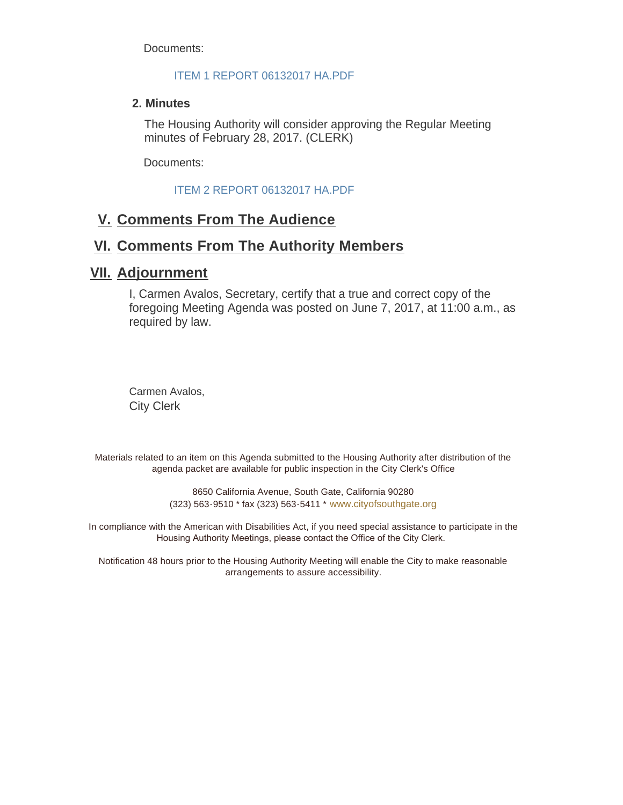Documents:

#### ITEM 1 REPORT 06132017 HA.PDF

#### **2. Minutes**

The Housing Authority will consider approving the Regular Meeting minutes of February 28, 2017. (CLERK)

Documents:

ITEM 2 REPORT 06132017 HA.PDF

## **Comments From The Audience V.**

## **Comments From The Authority Members VI.**

## **Adjournment VII.**

I, Carmen Avalos, Secretary, certify that a true and correct copy of the foregoing Meeting Agenda was posted on June 7, 2017, at 11:00 a.m., as required by law.

Carmen Avalos, City Clerk

Materials related to an item on this Agenda submitted to the Housing Authority after distribution of the agenda packet are available for public inspection in the City Clerk's Office

> 8650 California Avenue, South Gate, California 90280 (323) 563-9510 \* fax (323) 563-5411 \* [www.cityofsouthgate.org](http://www.cityofsouthgate.org/)

In compliance with the American with Disabilities Act, if you need special assistance to participate in the Housing Authority Meetings, please contact the Office of the City Clerk.

Notification 48 hours prior to the Housing Authority Meeting will enable the City to make reasonable arrangements to assure accessibility.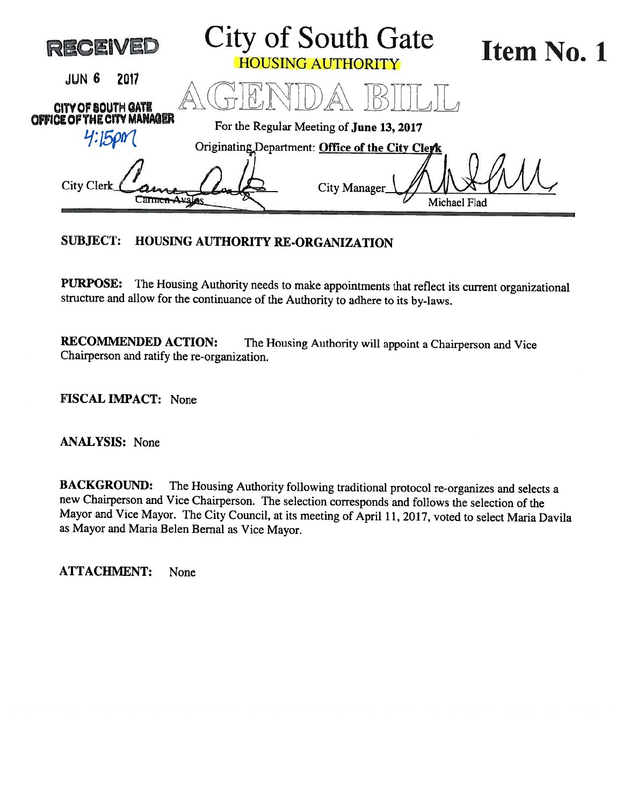| <b>RECEIVED</b>                                  | City of South Gate<br><b>HOUSING AUTHORITY</b>   | Item No. 1 |
|--------------------------------------------------|--------------------------------------------------|------------|
| JUN 6<br>2017                                    |                                                  |            |
| CITY OF SOUTH GATE<br>OFFICE OF THE CITY MANAGER | For the Regular Meeting of June 13, 2017         |            |
|                                                  | Originating Department: Office of the City Clerk |            |
| City Clerk                                       | City Manager<br><b>Michael Flad</b>              |            |
|                                                  |                                                  |            |

## SUBJECT: HOUSING AUTHORITY RE-ORGANIZATION

PURPOSE: The Housing Authority needs to make appointments that reflect its current organizational structure and allow for the continuance of the Authority to adhere to its by-laws.

RECOMMENDED ACTION: The Housing Authority will appoint a Chairperson and Vice Chairperson and ratify the re-organization.

FISCAL IMPACT: None

ANALYSIS: None

BACKGROUND: The Housing Authority following traditional protocol re-organizes and selects <sup>a</sup> new Chairperson and Vice Chairperson. The selection corresponds and follows the selection of the Mayor and Vice Mayor. The City Council, at its meeting of April 11, 2017, voted to select Maria Davila as Mayor and Maria Belen Bernal as Vice Mayor.

ATTACHMENT: None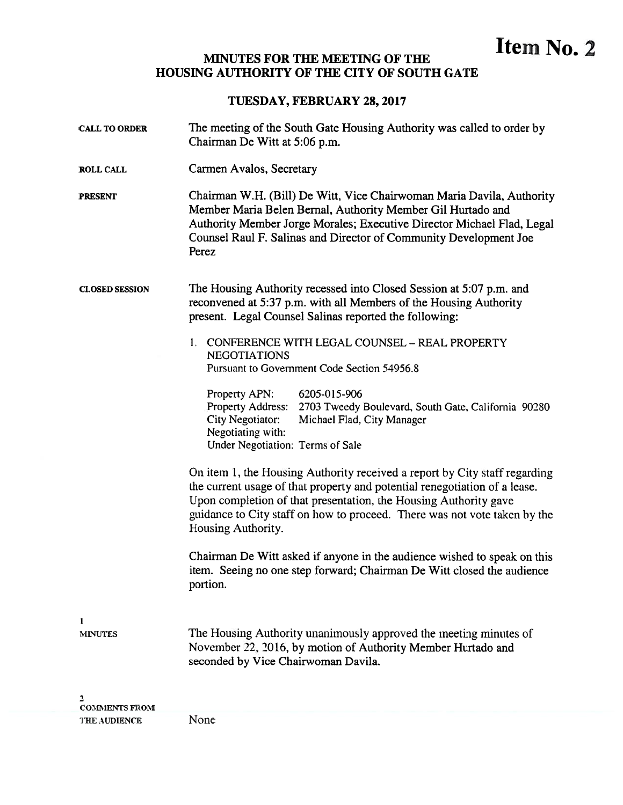# MINUTES FOR THE MEETING OF THE **ITHER MINUTES** FOR THE **ITHE** HOUSING AUTHORITY OF THE CITY OF SOUTH GATE

#### TUESDAY, FEBRUARY 28, 2017

| <b>CALL TO ORDER</b>  | The meeting of the South Gate Housing Authority was called to order by<br>Chairman De Witt at 5:06 p.m.                                                                                                                                                                                                                         |  |
|-----------------------|---------------------------------------------------------------------------------------------------------------------------------------------------------------------------------------------------------------------------------------------------------------------------------------------------------------------------------|--|
| <b>ROLL CALL</b>      | Carmen Avalos, Secretary                                                                                                                                                                                                                                                                                                        |  |
| <b>PRESENT</b>        | Chairman W.H. (Bill) De Witt, Vice Chairwoman Maria Davila, Authority<br>Member Maria Belen Bernal, Authority Member Gil Hurtado and<br>Authority Member Jorge Morales; Executive Director Michael Flad, Legal<br>Counsel Raul F. Salinas and Director of Community Development Joe<br>Perez                                    |  |
| <b>CLOSED SESSION</b> | The Housing Authority recessed into Closed Session at 5:07 p.m. and<br>reconvened at 5:37 p.m. with all Members of the Housing Authority<br>present. Legal Counsel Salinas reported the following:                                                                                                                              |  |
|                       | CONFERENCE WITH LEGAL COUNSEL - REAL PROPERTY<br>1.<br><b>NEGOTIATIONS</b><br>Pursuant to Government Code Section 54956.8                                                                                                                                                                                                       |  |
|                       | Property APN:<br>6205-015-906<br>Property Address:<br>2703 Tweedy Boulevard, South Gate, California 90280<br>City Negotiator:<br>Michael Flad, City Manager<br>Negotiating with:<br>Under Negotiation: Terms of Sale                                                                                                            |  |
|                       | On item 1, the Housing Authority received a report by City staff regarding<br>the current usage of that property and potential renegotiation of a lease.<br>Upon completion of that presentation, the Housing Authority gave<br>guidance to City staff on how to proceed. There was not vote taken by the<br>Housing Authority. |  |
|                       | Chairman De Witt asked if anyone in the audience wished to speak on this<br>item. Seeing no one step forward; Chairman De Witt closed the audience<br>portion.                                                                                                                                                                  |  |
| 1                     |                                                                                                                                                                                                                                                                                                                                 |  |
| <b>MINUTES</b>        | The Housing Authority unanimously approved the meeting minutes of<br>November 22, 2016, by motion of Authority Member Hurtado and<br>seconded by Vice Chairwoman Davila.                                                                                                                                                        |  |
| <b>COMMENTS FROM</b>  |                                                                                                                                                                                                                                                                                                                                 |  |

THE AUDIENCE None